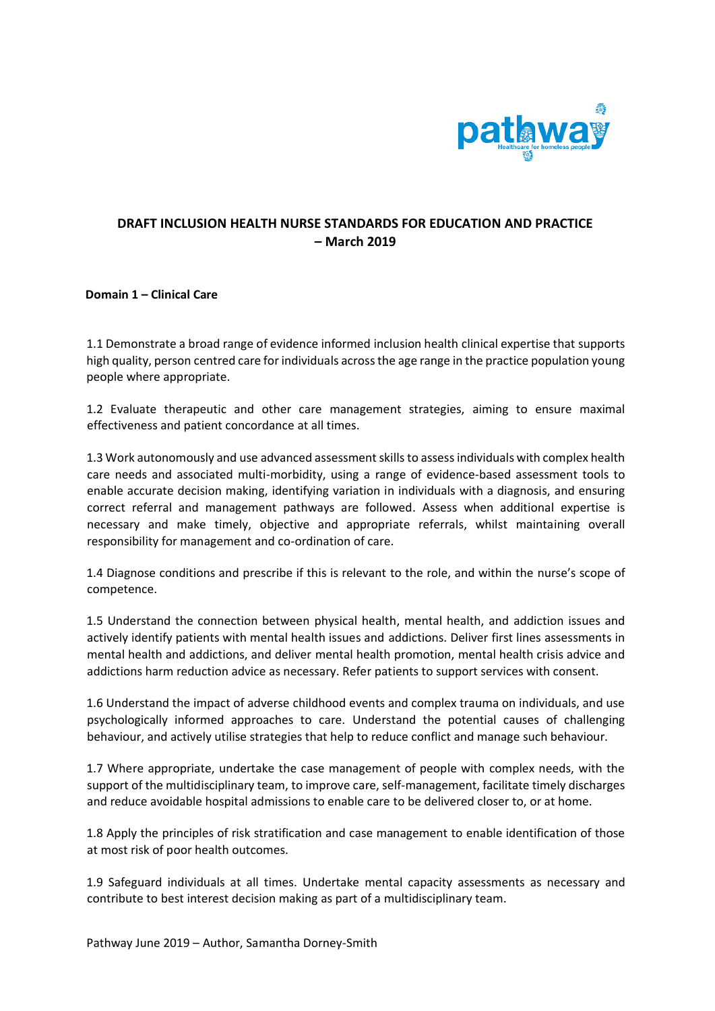

# **DRAFT INCLUSION HEALTH NURSE STANDARDS FOR EDUCATION AND PRACTICE – March 2019**

## **Domain 1 – Clinical Care**

1.1 Demonstrate a broad range of evidence informed inclusion health clinical expertise that supports high quality, person centred care for individuals across the age range in the practice population young people where appropriate.

1.2 Evaluate therapeutic and other care management strategies, aiming to ensure maximal effectiveness and patient concordance at all times.

1.3 Work autonomously and use advanced assessment skills to assess individuals with complex health care needs and associated multi-morbidity, using a range of evidence-based assessment tools to enable accurate decision making, identifying variation in individuals with a diagnosis, and ensuring correct referral and management pathways are followed. Assess when additional expertise is necessary and make timely, objective and appropriate referrals, whilst maintaining overall responsibility for management and co-ordination of care.

1.4 Diagnose conditions and prescribe if this is relevant to the role, and within the nurse's scope of competence.

1.5 Understand the connection between physical health, mental health, and addiction issues and actively identify patients with mental health issues and addictions. Deliver first lines assessments in mental health and addictions, and deliver mental health promotion, mental health crisis advice and addictions harm reduction advice as necessary. Refer patients to support services with consent.

1.6 Understand the impact of adverse childhood events and complex trauma on individuals, and use psychologically informed approaches to care. Understand the potential causes of challenging behaviour, and actively utilise strategies that help to reduce conflict and manage such behaviour.

1.7 Where appropriate, undertake the case management of people with complex needs, with the support of the multidisciplinary team, to improve care, self-management, facilitate timely discharges and reduce avoidable hospital admissions to enable care to be delivered closer to, or at home.

1.8 Apply the principles of risk stratification and case management to enable identification of those at most risk of poor health outcomes.

1.9 Safeguard individuals at all times. Undertake mental capacity assessments as necessary and contribute to best interest decision making as part of a multidisciplinary team.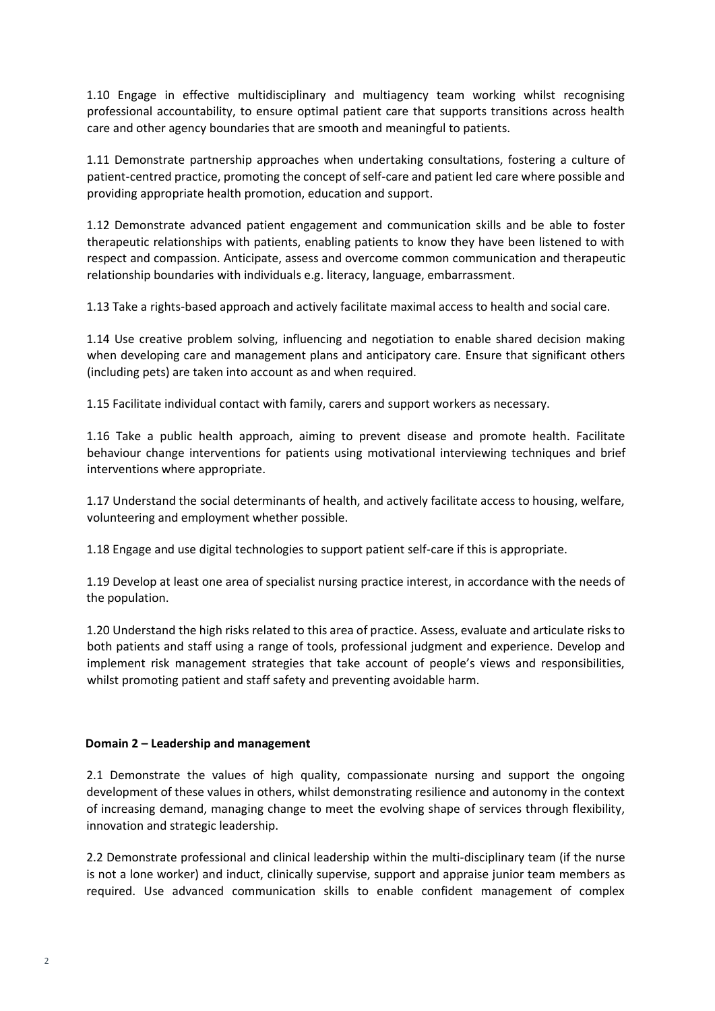1.10 Engage in effective multidisciplinary and multiagency team working whilst recognising professional accountability, to ensure optimal patient care that supports transitions across health care and other agency boundaries that are smooth and meaningful to patients.

1.11 Demonstrate partnership approaches when undertaking consultations, fostering a culture of patient-centred practice, promoting the concept of self-care and patient led care where possible and providing appropriate health promotion, education and support.

1.12 Demonstrate advanced patient engagement and communication skills and be able to foster therapeutic relationships with patients, enabling patients to know they have been listened to with respect and compassion. Anticipate, assess and overcome common communication and therapeutic relationship boundaries with individuals e.g. literacy, language, embarrassment.

1.13 Take a rights-based approach and actively facilitate maximal access to health and social care.

1.14 Use creative problem solving, influencing and negotiation to enable shared decision making when developing care and management plans and anticipatory care. Ensure that significant others (including pets) are taken into account as and when required.

1.15 Facilitate individual contact with family, carers and support workers as necessary.

1.16 Take a public health approach, aiming to prevent disease and promote health. Facilitate behaviour change interventions for patients using motivational interviewing techniques and brief interventions where appropriate.

1.17 Understand the social determinants of health, and actively facilitate access to housing, welfare, volunteering and employment whether possible.

1.18 Engage and use digital technologies to support patient self-care if this is appropriate.

1.19 Develop at least one area of specialist nursing practice interest, in accordance with the needs of the population.

1.20 Understand the high risks related to this area of practice. Assess, evaluate and articulate risks to both patients and staff using a range of tools, professional judgment and experience. Develop and implement risk management strategies that take account of people's views and responsibilities, whilst promoting patient and staff safety and preventing avoidable harm.

## **Domain 2 – Leadership and management**

2.1 Demonstrate the values of high quality, compassionate nursing and support the ongoing development of these values in others, whilst demonstrating resilience and autonomy in the context of increasing demand, managing change to meet the evolving shape of services through flexibility, innovation and strategic leadership.

2.2 Demonstrate professional and clinical leadership within the multi-disciplinary team (if the nurse is not a lone worker) and induct, clinically supervise, support and appraise junior team members as required. Use advanced communication skills to enable confident management of complex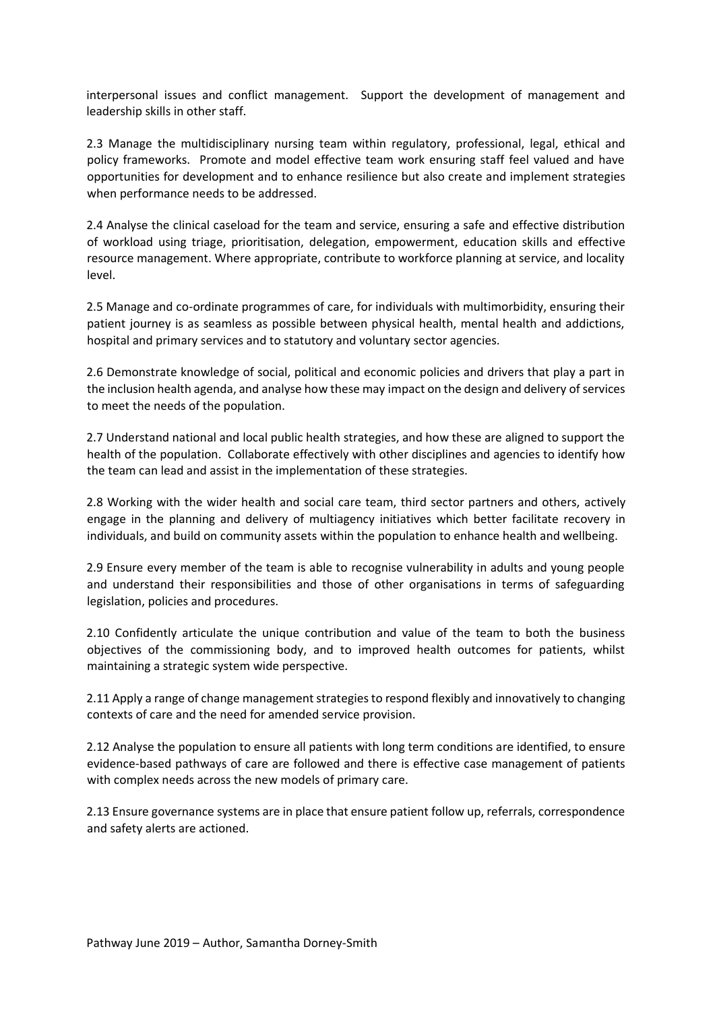interpersonal issues and conflict management. Support the development of management and leadership skills in other staff.

2.3 Manage the multidisciplinary nursing team within regulatory, professional, legal, ethical and policy frameworks. Promote and model effective team work ensuring staff feel valued and have opportunities for development and to enhance resilience but also create and implement strategies when performance needs to be addressed.

2.4 Analyse the clinical caseload for the team and service, ensuring a safe and effective distribution of workload using triage, prioritisation, delegation, empowerment, education skills and effective resource management. Where appropriate, contribute to workforce planning at service, and locality level.

2.5 Manage and co-ordinate programmes of care, for individuals with multimorbidity, ensuring their patient journey is as seamless as possible between physical health, mental health and addictions, hospital and primary services and to statutory and voluntary sector agencies.

2.6 Demonstrate knowledge of social, political and economic policies and drivers that play a part in the inclusion health agenda, and analyse how these may impact on the design and delivery of services to meet the needs of the population.

2.7 Understand national and local public health strategies, and how these are aligned to support the health of the population. Collaborate effectively with other disciplines and agencies to identify how the team can lead and assist in the implementation of these strategies.

2.8 Working with the wider health and social care team, third sector partners and others, actively engage in the planning and delivery of multiagency initiatives which better facilitate recovery in individuals, and build on community assets within the population to enhance health and wellbeing.

2.9 Ensure every member of the team is able to recognise vulnerability in adults and young people and understand their responsibilities and those of other organisations in terms of safeguarding legislation, policies and procedures.

2.10 Confidently articulate the unique contribution and value of the team to both the business objectives of the commissioning body, and to improved health outcomes for patients, whilst maintaining a strategic system wide perspective.

2.11 Apply a range of change management strategies to respond flexibly and innovatively to changing contexts of care and the need for amended service provision.

2.12 Analyse the population to ensure all patients with long term conditions are identified, to ensure evidence-based pathways of care are followed and there is effective case management of patients with complex needs across the new models of primary care.

2.13 Ensure governance systems are in place that ensure patient follow up, referrals, correspondence and safety alerts are actioned.